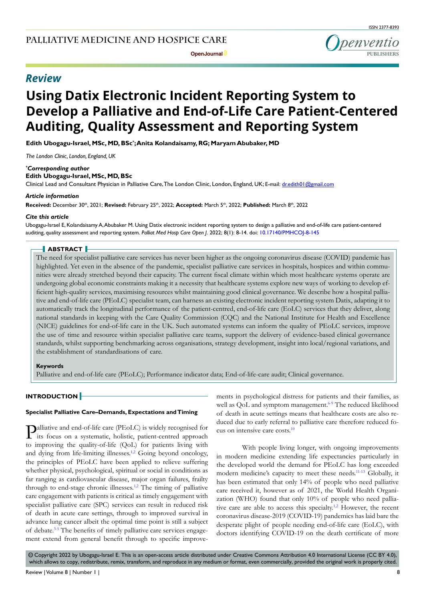# *Review*

# **Using Datix Electronic Incident Reporting System to Develop a Palliative and End-of-Life Care Patient-Centered Auditing, Quality Assessment and Reporting System**

**Edith Ubogagu-Israel, MSc, MD, BSc\* ; Anita Kolandaisamy, RG; Maryam Abubaker, MD**

*The London Clinic, London, England, UK*

### *\* Corresponding author*

**Edith Ubogagu-Israel, MSc, MD, BSc**

Clinical Lead and Consultant Physician in Palliative Care, The London Clinic, London, England, UK; E-mail: dr.edith01@gmail.com

### *Article information*

Received: December 30<sup>th</sup>, 2021; Revised: February 25<sup>th</sup>, 2022; Accepted: March 5<sup>th</sup>, 2022; Published: March 8<sup>th</sup>, 2022

### *Cite this article*

Ubogagu-Israel E, Kolandaisamy A, Abubaker M. Using Datix electronic incident reporting system to design a palliative and end-of-life care patient-centered auditing, quality assessment and reporting system. *Palliat Med Hosp Care Open J*. 2022; 8(1): 8-14. doi: [10.17140/PMHCOJ-8-145](http://dx.doi.org/10.17140/PMHCOJ-8-145)

### **ABSTRACT**

The need for specialist palliative care services has never been higher as the ongoing coronavirus disease (COVID) pandemic has highlighted. Yet even in the absence of the pandemic, specialist palliative care services in hospitals, hospices and within communities were already stretched beyond their capacity. The current fiscal climate within which most healthcare systems operate are undergoing global economic constraints making it a necessity that healthcare systems explore new ways of working to develop efficient high-quality services, maximising resources whilst maintaining good clinical governance. We describe how a hospital palliative and end-of-life care (PEoLC) specialist team, can harness an existing electronic incident reporting system Datix, adapting it to automatically track the longitudinal performance of the patient-centred, end-of-life care (EoLC) services that they deliver, along national standards in keeping with the Care Quality Commission (CQC) and the National Institute for Health and Excellence (NICE) guidelines for end-of-life care in the UK. Such automated systems can inform the quality of PEoLC services, improve the use of time and resource within specialist palliative care teams, support the delivery of evidence-based clinical governance standards, whilst supporting benchmarking across organisations, strategy development, insight into local/regional variations, and the establishment of standardisations of care.

### **Keywords**

Palliative and end-of-life care (PEoLC); Performance indicator data; End-of-life-care audit; Clinical governance.

# **INTRODUCTION**

### **Specialist Palliative Care–Demands, Expectations and Timing**

Palliative and end-of-life care (PEoLC) is widely recognised for its focus on a systematic, holistic, patient-centred approach to improving the quality-of-life (QoL) for patients living with and dying from life-limiting illnesses. $1,2$  Going beyond oncology, the principles of PEoLC have been applied to relieve suffering whether physical, psychological, spiritual or social in conditions as far ranging as cardiovascular disease, major organ failures, frailty through to end-stage chronic illnesses.<sup>1,2</sup> The timing of palliative care engagement with patients is critical as timely engagement with specialist palliative care (SPC) services can result in reduced risk of death in acute care settings, through to improved survival in advance lung cancer albeit the optimal time point is still a subject of debate.<sup>3-5</sup> The benefits of timely palliative care services engagement extend from general benefit through to specific improvements in psychological distress for patients and their families, as well as QoL and symptom management.<sup>6-9</sup> The reduced likelihood of death in acute settings means that healthcare costs are also reduced due to early referral to palliative care therefore reduced focus on intensive care costs[.10](#page-4-3)

With people living longer, with ongoing improvements in modern medicine extending life expectancies particularly in the developed world the demand for PEoLC has long exceeded modern medicine's capacity to meet these needs.[11-13](#page-4-4) Globally, it has been estimated that only 14% of people who need palliative care received it, however as of 2021, the World Health Organization (WHO) found that only 10% of people who need palliative care are able to access this specialty.<sup>1,2</sup> However, the recent coronavirus disease-2019 (COVID-19) pandemics has laid bare the desperate plight of people needing end-of-life care (EoLC), with doctors identifying COVID-19 on the death certificate of more

 $\circledcirc$  Copyright 2022 by Ubogagu-Israel E. This is an open-access article distributed under Creative Commons Attribution 4.0 International License [\(CC BY 4.0\)](https://creativecommons.org/licenses/by/4.0/), which allows to copy, redistribute, remix, transform, and reproduce in any medium or format, even commercially, provided the original work is properly cited.

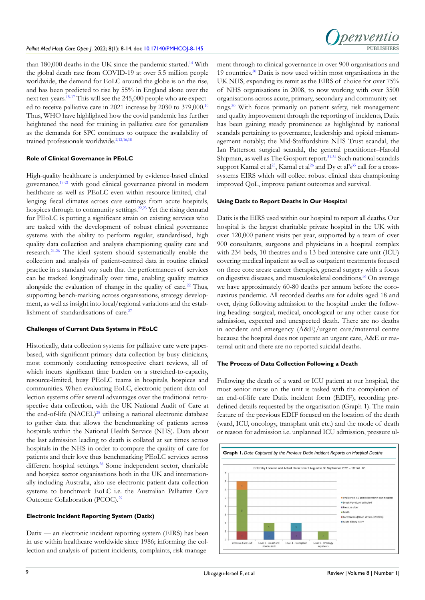than 180,000 deaths in the UK since the pandemic started.<sup>[14](#page-4-5)</sup> With the global death rate from COVID-19 at over 5.5 million people worldwide, the demand for EoLC around the globe is on the rise, and has been predicted to rise by 55% in England alone over the next ten-years[.15-17](#page-4-6) This will see the 245,000 people who are expected to receive palliative care in 2021 increase by 2030 to 379,000.[10](#page-4-3) Thus, WHO have highlighted how the covid pandemic has further heightened the need for training in palliative care for generalists as the demands for SPC continues to outpace the availability of trained professionals worldwide.<sup>[2,](#page-4-7)[12,](#page-4-8)[16,](#page-4-9)[18](#page-5-0)</sup>

### **Role of Clinical Governance in PEoLC**

High-quality healthcare is underpinned by evidence-based clinical governance,[19-21](#page-5-1) with good clinical governance pivotal in modern healthcare as well as PEoLC even within resource-limited, challenging fiscal climates across care settings from acute hospitals, hospices through to community settings.<sup>22,23</sup> Yet the rising demand for PEoLC is putting a significant strain on existing services who are tasked with the development of robust clinical governance systems with the ability to perform regular, standardised, high quality data collection and analysis championing quality care and research[.24-26](#page-5-3) The ideal system should systematically enable the collection and analysis of patient-centred data in routine clinical practice in a standard way such that the performances of services can be tracked longitudinally over time, enabling quality metrics alongside the evaluation of change in the quality of care.<sup>[22](#page-5-2)</sup> Thus, supporting bench-marking across organisations, strategy development, as well as insight into local/regional variations and the establishment of standardisations of care.<sup>27</sup>

### **Challenges of Current Data Systems in PEoLC**

Historically, data collection systems for palliative care were paperbased, with significant primary data collection by busy clinicians, most commonly conducting retrospective chart reviews, all of which incurs significant time burden on a stretched-to-capacity, resource-limited, busy PEoLC teams in hospitals, hospices and communities. When evaluating EoLC, electronic patient-data collection systems offer several advantages over the traditional retrospective data collection, with the UK National Audit of Care at the end-of-life  $(NACEL)^{28}$  $(NACEL)^{28}$  $(NACEL)^{28}$  utilising a national electronic database to gather data that allows the benchmarking of patients across hospitals within the National Health Service (NHS). Data about the last admission leading to death is collated at set times across hospitals in the NHS in order to compare the quality of care for patients and their love thus benchmarking PEoLC services across different hospital settings.<sup>28</sup> Some independent sector, charitable and hospice sector organisations both in the UK and internationally including Australia, also use electronic patient-data collection systems to benchmark EoLC i.e. the Australian Palliative Care Outcome Collaboration (PCOC).<sup>[29](#page-5-6)</sup>

#### **Electronic Incident Reporting System (Datix)**

Datix — an electronic incident reporting system (EIRS) has been in use within healthcare worldwide since 1986; informing the collection and analysis of patient incidents, complaints, risk manage-



ment through to clinical governance in over 900 organisations and 19 countries.[30](#page-5-7) Datix is now used within most organisations in the UK NHS, expanding its remit as the EIRS of choice for over 75% of NHS organisations in 2008, to now working with over 3500 organisations across acute, primary, secondary and community settings.<sup>30</sup> With focus primarily on patient safety, risk management and quality improvement through the reporting of incidents, Datix has been gaining steady prominence as highlighted by national scandals pertaining to governance, leadership and opioid mismanagement notably; the Mid-Staffordshire NHS Trust scandal, the Ian Patterson surgical scandal, the general practitioner–Harold Shipman, as well as The Gosport report.<sup>[31-34](#page-5-8)</sup> Such national scandals support Kamal et al<sup>25</sup>, Kamal et al<sup>26</sup> and Dy et al's<sup>35</sup> call for a crosssystems EIRS which will collect robust clinical data championing improved QoL, improve patient outcomes and survival.

### **Using Datix to Report Deaths in Our Hospital**

Datix is the EIRS used within our hospital to report all deaths. Our hospital is the largest charitable private hospital in the UK with over 120,000 patient visits per year, supported by a team of over 900 consultants, surgeons and physicians in a hospital complex with 234 beds, 10 theatres and a 13-bed intensive care unit (ICU) covering medical inpatient as well as outpatient treatments focused on three core areas: cancer therapies, general surgery with a focus on digestive diseases, and musculoskeletal conditions.<sup>[36](#page-5-12)</sup> On average we have approximately 60-80 deaths per annum before the coronavirus pandemic. All recorded deaths are for adults aged 18 and over, dying following admission to the hospital under the following heading: surgical, medical, oncological or any other cause for admission, expected and unexpected death. There are no deaths in accident and emergency (A&E)/urgent care/maternal centre because the hospital does not operate an urgent care, A&E or maternal unit and there are no reported suicidal deaths.

### **The Process of Data Collection Following a Death**

Following the death of a ward or ICU patient at our hospital, the most senior nurse on the unit is tasked with the completion of an end-of-life care Datix incident form (EDIF), recording predefined details requested by the organisation (Graph 1). The main feature of the previous EDIF focused on the location of the death (ward, ICU, oncology, transplant unit etc.) and the mode of death or reason for admission i.e. unplanned ICU admission, pressure ul-

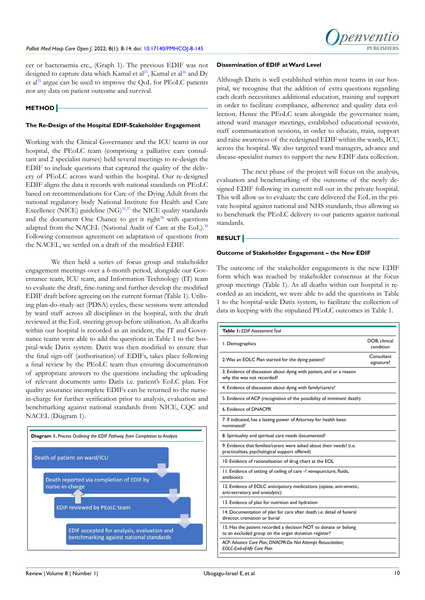cer or bacteraemia etc., (Graph 1). The previous EDIF was not designed to capture data which Kamal et al<sup>25</sup>, Kamal et al<sup>26</sup> and Dy et al<sup>35</sup> argue can be used to improve the QoL for PEoLC patients nor any data on patient outcome and survival.

### **METHOD**

# **The Re-Design of the Hospital EDIF-Stakeholder Engagement**

Working with the Clinical Governance and the ICU teams in our hospital, the PEoLC team (comprising a palliative care consultant and 2 specialist nurses) held several meetings to re-design the EDIF to include questions that captured the quality of the delivery of PEoLC across ward within the hospital. Our re-designed EDIF aligns the data it records with national standards on PEoLC based on recommendations for Care of the Dying Adult from the national regulatory body National Institute for Health and Care Excellence (NICE) guideline  $(NG)^{31,37}$  $(NG)^{31,37}$  $(NG)^{31,37}$  $(NG)^{31,37}$  the NICE quality standards and the document One Chance to get it right $38$  with questions adapted from the NACEL (National Audit of Care at the EoL).<sup>39</sup> Following consensus agreement on adaptation of questions from the NACEL, we settled on a draft of the modified EDIF.

We then held a series of focus group and stakeholder engagement meetings over a 6-month period, alongside our Governance team, ICU team, and Information Technology (IT) team to evaluate the draft, fine-tuning and further develop the modified EDIF draft before agreeing on the current format (Table 1). Utilising plan-do-study-act (PDSA) cycles, these sessions were attended by ward staff across all disciplines in the hospital, with the draft reviewed at the EoL steering group before utilisation. As all deaths within our hospital is recorded as an incident, the IT and Governance teams were able to add the questions in Table 1 to the hospital-wide Datix system. Datix was then modified to ensure that the final sign-off (authorisation) of EDIFs, takes place following a final review by the PEoLC team thus ensuring documentation of appropriate answers to the questions including the uploading of relevant documents unto Datix i.e. patient's EoLC plan. For quality assurance incomplete EDIFs can be returned to the nursein-charge for further verification prior to analysis, evaluation and benchmarking against national standards from NICE, CQC and NACEL (Diagram 1).



### **Dissemination of EDIF at Ward Level**

Although Datix is well established within most teams in our hospital, we recognise that the addition of extra questions regarding each death necessitates additional education, training and support in order to facilitate compliance, adherence and quality data collection. Hence the PEoLC team alongside the governance team, attend ward manager meetings, established educational sessions, staff communication sessions, in order to educate, train, support and raise awareness of the redesigned EDIF within the wards, ICU, across the hospital. We also targeted ward managers, advance and disease-specialist nurses to support the new EDIF data collection.

The next phase of the project will focus on the analysis, evaluation and benchmarking of the outcome of the newly designed EDIF following its current roll out in the private hospital. This will allow us to evaluate the care delivered the EoL in the private hospital against national and NHS standards, thus allowing us to benchmark the PEoLC delivery to our patients against national standards.

### **RESULT**

# **Outcome of Stakeholder Engagement – the New EDIF**

The outcome of the stakeholder engagements is the new EDIF form which was reached by stakeholder consensus at the focus group meetings (Table 1). As all deaths within our hospital is recorded as an incident, we were able to add the questions in Table 1 to the hospital-wide Datix system, to facilitate the collection of data in keeping with the stipulated PEoLC outcomes in Table 1.

| Table 1: EDIF Assessment Tool                                                                                           |                            |
|-------------------------------------------------------------------------------------------------------------------------|----------------------------|
| I. Demographics                                                                                                         | DOB, clinical<br>condition |
| 2. Was an EOLC Plan started for the dying patient?                                                                      | Consultant<br>signature?   |
| 3. Evidence of discussion about dying with patient, and or a reason<br>why this was not recorded?                       |                            |
| 4. Evidence of discussion about dying with family/carers?                                                               |                            |
| 5. Evidence of ACP (recognition of the possibility of imminent death)                                                   |                            |
| 6. Evidence of DNACPR                                                                                                   |                            |
| 7. If indicated, has a lasting power of Attorney for health been<br>nominated?                                          |                            |
| 8. Spirituality and spiritual care needs documented?                                                                    |                            |
| 9. Evidence that families/carers were asked about their needs? (i.e.<br>practicalities, psychological support offered)  |                            |
| 10. Evidence of rationalisation of drug chart at the EOL                                                                |                            |
| II. Evidence of setting of ceiling of care -? venepuncture, fluids,<br>antibiotics                                      |                            |
| 12. Evidence of EOLC anticipatory medications (opiate, anti-emetic,<br>anti-secretory and anxiolytic)                   |                            |
| 13. Evidence of plan for nutrition and hydration                                                                        |                            |
| 14. Documentation of plan for care after death <i>i.e.</i> detail of funeral<br>director, cremation or burial           |                            |
| 15. Has the patient recorded a decision NOT to donate or belong<br>to an excluded group on the organ donation register? |                            |
| ACP- Advance Care Plan; DNACPR-Do Not Attempt Resuscitation;<br><b>EOLC-End-of-life Care Plan</b>                       |                            |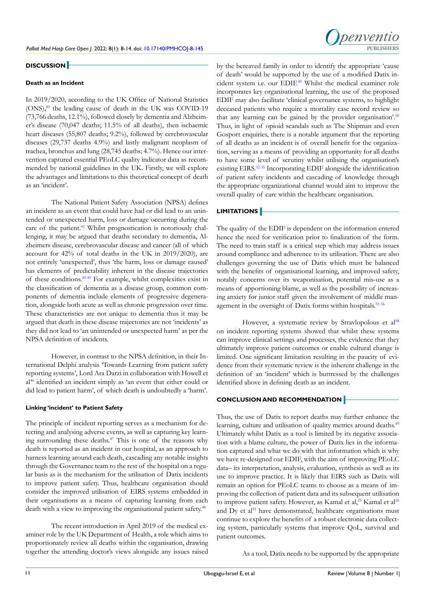

# **DISCUSSION**

### **Death as an Incident**

In 2019/2020, according to the UK Office of National Statistics (ONS)[,40](#page-5-16) the leading cause of death in the UK was COVID-19 (73,766 deaths, 12.1%), followed closely by dementia and Alzheimer's disease (70,047 deaths; 11.5% of all deaths), then ischaemic heart diseases (55,807 deaths; 9.2%), followed by cerebrovascular diseases (29,737 deaths 4.9%) and lastly malignant neoplasm of trachea, bronchus and lung (28,745 deaths; 4.7%). Hence our intervention captured essential PEoLC quality indicator data as recommended by national guidelines in the UK. Firstly, we will explore the advantages and limitations to this theoretical concept of death as an 'incident'.

The National Patient Safety Association (NPSA) defines an incident as an event that could have had or did lead to an unintended or unexpected harm, loss or damage occurring during the care of the patient.<sup>41</sup> Whilst prognostication is notoriously challenging, it may be argued that deaths secondary to dementia, Alzheimers disease, cerebrovascular disease and cancer (all of which account for 42% of total deaths in the UK in 2019/2020), are not entirely 'unexpected', thus 'the harm, loss or damage caused' has elements of predictability inherent in the disease trajectories of these conditions.[42-45](#page-5-18) For example, whilst complexities exist in the classification of dementia as a disease group, common components of dementia include elements of progressive degeneration, alongside both acute as well as chronic progression over time. These characteristics are not unique to dementia thus it may be argued that death in these disease trajectories are not 'incidents' as they did not lead to 'an unintended or unexpected harm' as per the NPSA definition of incidents.

However, in contrast to the NPSA definition, in their International Delphi analysis 'Towards Learning from patient safety reporting systems', Lord Ara Darzi in collaboration with Howell et al<sup>46</sup> identified an incident simply as 'an event that either could or did lead to patient harm', of which death is undoubtedly a 'harm'.

### **Linking 'incident' to Patient Safety**

The principle of incident reporting serves as a mechanism for detecting and analysing adverse events, as well as capturing key learning surrounding these deaths.[47](#page-6-1) This is one of the reasons why death is reported as an incident in our hospital, as an approach to harness learning around each death, cascading any notable insights through the Governance team to the rest of the hospital on a regular basis as is the mechanism for the utilisation of Datix incidents to improve patient safety. Thus, healthcare organisation should consider the improved utilisation of EIRS systems embedded in their organisations as a means of capturing learning from each death with a view to improving the organisational patient safety.<sup>[48](#page-6-2)</sup>

The recent introduction in April 2019 of the medical examiner role by the UK Department of Health, a role which aims to proportionately review all deaths within the organisation, drawing together the attending doctor's views alongside any issues raised

by the bereaved family in order to identify the appropriate 'cause of death' would be supported by the use of a modified Datix incident system i.e. our EDIF[.49](#page-6-3) Whilst the medical examiner role incorporates key organisational learning, the use of the proposed EDIF may also facilitate 'clinical governance systems, to highlight deceased patients who require a mortality case record review so that any learning can be gained by the provider organisation'.<sup>[50](#page-6-4)</sup> Thus, in light of opioid scandals such as The Shipman and even Gosport enquiries, there is a notable argument that the reporting of all deaths as an incident is of overall benefit for the organization, serving as a means of providing an opportunity for all deaths to have some level of scrutiny whilst utilising the organisation's existing EIRS[.32-35](#page-5-19) Incorporating EDIF alongside the identification of patient safety incidents and cascading of knowledge through the appropriate organizational channel would aim to improve the overall quality of care within the healthcare organisation.

# **LIMITATIONS**

The quality of the EDIF is dependent on the information entered hence the need for verification prior to finalization of the form. The need to train staff is a critical step which may address issues around compliance and adherence to its utilisation. There are also challenges governing the use of Datix which must be balanced with the benefits of organisational learning, and improved safety, notably concerns over its weaponisation, potential mis-use as a means of apportioning blame, as well as the possibility of increasing anxiety for junior staff given the involvement of middle management in the oversight of Datix forms within hospitals.<sup>51-56</sup>

However, a systematic review by Stravlopolous et al<sup>[48](#page-6-2)</sup> on incident reporting systems showed that whilst these systems can improve clinical settings and processes, the evidence that they ultimately improve patient outcomes or enable cultural change is limited. One significant limitation resulting in the paucity of evidence from their systematic review is the inherent challenge in the definition of an 'incident' which is buttressed by the challenges identified above in defining death as an incident.

# **CONCLUSION AND RECOMMENDATION**

Thus, the use of Datix to report deaths may further enhance the learning, culture and utilisation of quality metrics around deaths.<sup>[49](#page-6-3)</sup> Ultimately whilst Datix as a tool is limited by its negative association with a blame culture, the power of Datix lies in the information captured and what we do with that information which is why we have re-designed our EDIF, with the aim of improving PEoLC data– its interpretation, analysis, evaluation, synthesis as well as its use to improve practice. It is likely that EIRS such as Datix will remain an option for PEoLC teams to choose as a means of improving the collection of patient data and its subsequent utilisation to improve patient safety. However, as Kamal et al,<sup>25</sup> Kamal et al<sup>[26](#page-5-10)</sup> and  $Dy$  et al<sup>[35](#page-5-11)</sup> have demonstrated, healthcare organisations must continue to explore the benefits of a robust electronic data collecting system, particularly systems that improve QoL, survival and patient outcomes.

As a tool, Datix needs to be supported by the appropriate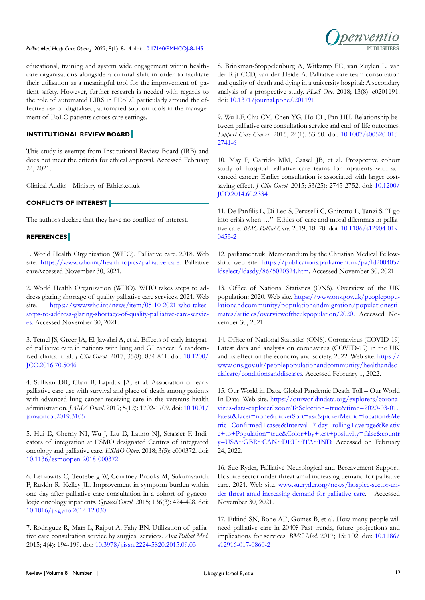### Palliat Med Hosp Care Open J. 2022; 8(1): 8-14. doi: [10.17140/PMHCOJ-8-145](http://dx.doi.org/10.17140/PMHCOJ-8-145)



educational, training and system wide engagement within healthcare organisations alongside a cultural shift in order to facilitate their utilisation as a meaningful tool for the improvement of patient safety. However, further research is needed with regards to the role of automated EIRS in PEoLC particularly around the effective use of digitalised, automated support tools in the management of EoLC patients across care settings.

**INSTITUTIONAL REVIEW BOARD**

This study is exempt from Institutional Review Board (IRB) and does not meet the criteria for ethical approval. Accessed February 24, 2021.

Clinical Audits - Ministry of Ethics.co.uk

# **CONFLICTS OF INTEREST**

The authors declare that they have no conflicts of interest.

# **REFERENCES**

<span id="page-4-0"></span>1. World Health Organization (WHO). Palliative care. 2018. Web site. <https://www.who.int/health-topics/palliative-care>. Palliative careAccessed November 30, 2021.

<span id="page-4-7"></span>2. World Health Organization (WHO). WHO takes steps to address glaring shortage of quality palliative care services. 2021. Web site. [https://www.who.int/news/item/05-10-2021-who-takes](https://www.who.int/news/item/05-10-2021-who-takes-steps-to-address-glaring-shortage-of-quality-palliative-care-services)[steps-to-address-glaring-shortage-of-quality-palliative-care-servic](https://www.who.int/news/item/05-10-2021-who-takes-steps-to-address-glaring-shortage-of-quality-palliative-care-services)[es](https://www.who.int/news/item/05-10-2021-who-takes-steps-to-address-glaring-shortage-of-quality-palliative-care-services). Accessed November 30, 2021.

<span id="page-4-1"></span>3. Temel JS, Greer JA, El-Jawahri A, et al. Effects of early integrated palliative care in patients with lung and GI cancer: A randomized clinical trial. *J Clin Oncol*. 2017; 35(8): 834-841. doi: [10.1200/](http://doi.org/10.1200/JCO.2016.70.5046) [JCO.2016.70.5046](http://doi.org/10.1200/JCO.2016.70.5046)

4. Sullivan DR, Chan B, Lapidus JA, et al. Association of early palliative care use with survival and place of death among patients with advanced lung cancer receiving care in the veterans health administration. *JAMA Oncol*. 2019; 5(12): 1702-1709. doi: [10.1001/](http://doi.org/10.1001/jamaoncol.2019.3105) [jamaoncol.2019.3105](http://doi.org/10.1001/jamaoncol.2019.3105)

5. Hui D, Cherny NI, Wu J, Liu D, Latino NJ, Strasser F. Indicators of integration at ESMO designated Centres of integrated oncology and palliative care. *ESMO Open*. 2018; 3(5): e000372. doi: [10.1136/esmoopen-2018-000372](http://doi.org/10.1136/esmoopen-2018-000372)

<span id="page-4-2"></span>6. Lefkowits C, Teuteberg W, Courtney-Brooks M, Sukumvanich P, Ruskin R, Kelley JL. Improvement in symptom burden within one day after palliative care consultation in a cohort of gynecologic oncology inpatients. *Gynecol Oncol*. 2015; 136(3): 424-428. doi: [10.1016/j.ygyno.2014.12.030](http://doi.org/10.1016/j.ygyno.2014.12.030)

7. Rodriguez R, Marr L, Rajput A, Fahy BN. Utilization of palliative care consultation service by surgical services. *Ann Palliat Med*. 2015; 4(4): 194-199. doi: [10.3978/j.issn.2224-5820.2015.09.03](http://doi.org/10.3978/j.issn.2224-5820.2015.09.03)

8. Brinkman-Stoppelenburg A, Witkamp FE, van Zuylen L, van der Rijt CCD, van der Heide A. Palliative care team consultation and quality of death and dying in a university hospital: A secondary analysis of a prospective study. *PLoS One*. 2018; 13(8): e0201191. doi: [10.1371/journal.pone.0201191](http://doi.org/10.1371/journal.pone.0201191)

9. Wu LF, Chu CM, Chen YG, Ho CL, Pan HH. Relationship between palliative care consultation service and end-of-life outcomes. *Support Care Cancer*. 2016; 24(1): 53-60. doi: [10.1007/s00520-015-](http://doi.org/10.1007/s00520-015-2741-6) [2741-6](http://doi.org/10.1007/s00520-015-2741-6)

<span id="page-4-3"></span>10. May P, Garrido MM, Cassel JB, et al. Prospective cohort study of hospital palliative care teams for inpatients with advanced cancer: Earlier consultation is associated with larger costsaving effect. *J Clin Oncol.* 2015; 33(25): 2745-2752. doi: [10.1200/](http://doi.org/10.1200/JCO.2014.60.2334) [JCO.2014.60.2334](http://doi.org/10.1200/JCO.2014.60.2334)

<span id="page-4-4"></span>11. De Panfilis L, Di Leo S, Peruselli C, Ghirotto L, Tanzi S. "I go into crisis when …": Ethics of care and moral dilemmas in palliative care. *BMC Palliat Care.* 2019; 18: 70. doi: [10.1186/s12904-019-](http://doi.org/10.1186/s12904-019-0453-2) [0453-2](http://doi.org/10.1186/s12904-019-0453-2)

<span id="page-4-8"></span>12. parliament.uk. Memorandum by the Christian Medical Fellowship. web site. [https://publications.parliament.uk/pa/ld200405/](https://publications.parliament.uk/pa/ld200405/ldselect/ldasdy/86/5020324.htm) [ldselect/ldasdy/86/5020324.htm.](https://publications.parliament.uk/pa/ld200405/ldselect/ldasdy/86/5020324.htm) Accessed November 30, 2021.

13. Office of National Statistics (ONS). Overview of the UK population: 2020. Web site. [https://www.ons.gov.uk/peoplepopu](https://www.ons.gov.uk/peoplepopulationandcommunity/populationandmigration/populationestimates/articles/overviewoftheukpopulation/2020)[lationandcommunity/populationandmigration/populationesti](https://www.ons.gov.uk/peoplepopulationandcommunity/populationandmigration/populationestimates/articles/overviewoftheukpopulation/2020)[mates/articles/overviewoftheukpopulation/2020.](https://www.ons.gov.uk/peoplepopulationandcommunity/populationandmigration/populationestimates/articles/overviewoftheukpopulation/2020) Accessed November 30, 2021.

<span id="page-4-5"></span>14. Office of National Statistics (ONS). Coronavirus (COVID-19) Latest data and analysis on coronavirus (COVID-19) in the UK and its effect on the economy and society. 2022. Web site. [https://](https://www.ons.gov.uk/peoplepopulationandcommunity/healthandsocialcare/conditionsanddiseases) [www.ons.gov.uk/peoplepopulationandcommunity/healthandso](https://www.ons.gov.uk/peoplepopulationandcommunity/healthandsocialcare/conditionsanddiseases)[cialcare/conditionsanddiseases](https://www.ons.gov.uk/peoplepopulationandcommunity/healthandsocialcare/conditionsanddiseases). Accessed February 1, 2022.

<span id="page-4-6"></span>15. Our World in Data. Global Pandemic Death Toll – Our World In Data. Web site. [https://ourworldindata.org/explorers/corona](https://ourworldindata.org/explorers/coronavirus-data-explorer?zoomToSelection=true&time=2020-03-01..latest&facet=none&pickerSort=asc&pickerMetric=location&Interval=7-day+rolling+average&Relative+to+Population=true&Color+by+test+positivity=false&country=USA~GBR~CAN~DEU~ITA~IND&Metric=Confirmed+cases)[virus-data-explorer?zoomToSelection=true&time=2020-03-01..](https://ourworldindata.org/explorers/coronavirus-data-explorer?zoomToSelection=true&time=2020-03-01..latest&facet=none&pickerSort=asc&pickerMetric=location&Interval=7-day+rolling+average&Relative+to+Population=true&Color+by+test+positivity=false&country=USA~GBR~CAN~DEU~ITA~IND&Metric=Confirmed+cases) [latest&facet=none&pickerSort=asc&pickerMetric=location&Me](https://ourworldindata.org/explorers/coronavirus-data-explorer?zoomToSelection=true&time=2020-03-01..latest&facet=none&pickerSort=asc&pickerMetric=location&Interval=7-day+rolling+average&Relative+to+Population=true&Color+by+test+positivity=false&country=USA~GBR~CAN~DEU~ITA~IND&Metric=Confirmed+cases) [tric=Confirmed+cases&Interval=7-day+rolling+average&Relativ](https://ourworldindata.org/explorers/coronavirus-data-explorer?zoomToSelection=true&time=2020-03-01..latest&facet=none&pickerSort=asc&pickerMetric=location&Interval=7-day+rolling+average&Relative+to+Population=true&Color+by+test+positivity=false&country=USA~GBR~CAN~DEU~ITA~IND&Metric=Confirmed+cases) [e+to+Population=true&Color+by+test+positivity=false&countr](https://ourworldindata.org/explorers/coronavirus-data-explorer?zoomToSelection=true&time=2020-03-01..latest&facet=none&pickerSort=asc&pickerMetric=location&Interval=7-day+rolling+average&Relative+to+Population=true&Color+by+test+positivity=false&country=USA~GBR~CAN~DEU~ITA~IND&Metric=Confirmed+cases) [y=USA~GBR~CAN~DEU~ITA~IND.](https://ourworldindata.org/explorers/coronavirus-data-explorer?zoomToSelection=true&time=2020-03-01..latest&facet=none&pickerSort=asc&pickerMetric=location&Interval=7-day+rolling+average&Relative+to+Population=true&Color+by+test+positivity=false&country=USA~GBR~CAN~DEU~ITA~IND&Metric=Confirmed+cases) Accessed on February 24, 2022.

<span id="page-4-9"></span>16. Sue Ryder, Palliative Neurological and Bereavement Support. Hospice sector under threat amid increasing demand for palliative care. 2021. Web site. [www.sueryder.org/news/hospice-sector-un](https://www.sueryder.org/news/hospice-sector-under-threat-amid-increasing-demand-for-palliative-care)[der-threat-amid-increasing-demand-for-palliative-care.](https://www.sueryder.org/news/hospice-sector-under-threat-amid-increasing-demand-for-palliative-care) Accessed November 30, 2021.

17. Etkind SN, Bone AE, Gomes B, et al. How many people will need palliative care in 2040? Past trends, future projections and implications for services. *BMC Med.* 2017; 15: 102. doi: [10.1186/](http://doi.org/10.1186/s12916-017-0860-2) [s12916-017-0860-2](http://doi.org/10.1186/s12916-017-0860-2)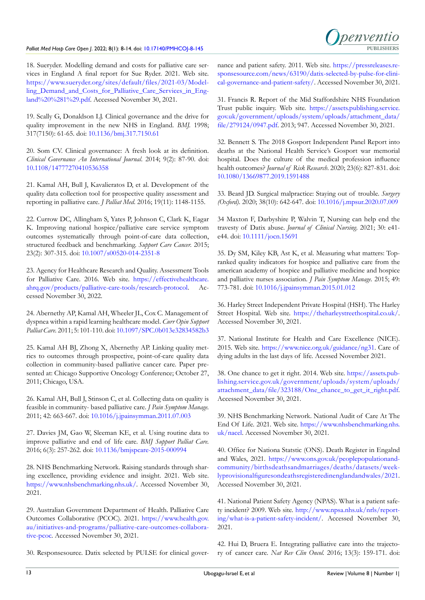### Palliat Med Hosp Care Open J. 2022; 8(1): 8-14. doi: [10.17140/PMHCOJ-8-145](http://dx.doi.org/10.17140/PMHCOJ-8-145)

<span id="page-5-0"></span>18. Sueryder. Modelling demand and costs for palliative care services in England A final report for Sue Ryder. 2021. Web site. [https://www.sueryder.org/sites/default/files/2021-03/Model](https://www.sueryder.org/sites/default/files/2021-03/Modelling_Demand_and_Costs_for_Palliative_Care_Services_in_England%20%281%29.pdf)[ling\\_Demand\\_and\\_Costs\\_for\\_Palliative\\_Care\\_Services\\_in\\_Eng](https://www.sueryder.org/sites/default/files/2021-03/Modelling_Demand_and_Costs_for_Palliative_Care_Services_in_England%20%281%29.pdf)[land%20%281%29.pdf](https://www.sueryder.org/sites/default/files/2021-03/Modelling_Demand_and_Costs_for_Palliative_Care_Services_in_England%20%281%29.pdf). Accessed November 30, 2021.

<span id="page-5-1"></span>19. Scally G, Donaldson LJ. Clinical governance and the drive for quality improvement in the new NHS in England. *BMJ.* 1998; 317(7150): 61-65. doi: [10.1136/bmj.317.7150.61](http://doi.org/10.1136/bmj.317.7150.61)

20. Som CV. Clinical governance: A fresh look at its definition. *Clinical Governance An International Journal*. 2014; 9(2): 87-90. doi: [10.1108/14777270410536358](http://doi.org/10.1108/14777270410536358)

21. Kamal AH, Bull J, Kavalieratos D, et al. Development of the quality data collection tool for prospective quality assessment and reporting in palliative care. *J Palliat Med*. 2016; 19(11): 1148-1155.

<span id="page-5-2"></span>22. Currow DC, Allingham S, Yates P, Johnson C, Clark K, Eagar K. Improving national hospice/palliative care service symptom outcomes systematically through point-of-care data collection, structured feedback and benchmarking. *Support Care Cancer.* 2015; 23(2): 307-315. doi: [10.1007/s00520-014-2351-8](hhttp://doi.org/10.1007/s00520-014-2351-8)

23. Agency for Healthcare Research and Quality. Assessment Tools for Palliative Care. 2016. Web site. [https://effectivehealthcare.](https://effectivehealthcare.ahrq.gov/products/palliative-care-tools/research-protocol) [ahrq.gov/products/palliative-care-tools/research-protocol.](https://effectivehealthcare.ahrq.gov/products/palliative-care-tools/research-protocol) Accessed November 30, 2022.

<span id="page-5-3"></span>24. Abernethy AP, Kamal AH, Wheeler JL, Cox C. Management of dyspnea within a rapid learning healthcare model. *Curr Opin Support Palliat Care.* 2011; 5: 101-110. doi: [10.1097/SPC.0b013e32834582b3](http://doi.org/10.1097/SPC.0b013e32834582b3)

<span id="page-5-9"></span>25. Kamal AH BJ, Zhong X, Abernethy AP. Linking quality metrics to outcomes through prospective, point-of-care quality data collection in community-based palliative cancer care. Paper presented at: Chicago Supportive Oncology Conference; October 27, 2011; Chicago, USA.

<span id="page-5-10"></span>26. Kamal AH, Bull J, Stinson C, et al. Collecting data on quality is feasible in community- based palliative care. *J Pain Symptom Manage.* 2011; 42: 663-667. doi: [10.1016/j.jpainsymman.2011.07.003](http://doi.org/10.1016/j.jpainsymman.2011.07.003)

<span id="page-5-4"></span>27. Davies JM, Gao W, Sleeman KE, et al. Using routine data to improve palliative and end of life care. *BMJ Support Palliat Care.* 2016; 6(3): 257-262. doi: [10.1136/bmjspcare-2015-000994](http://doi.org/10.1136/bmjspcare-2015-000994)

<span id="page-5-5"></span>28. NHS Benchmarking Network. Raising standards through sharing excellence, providing evidence and insight. 2021. Web site. [https://www.nhsbenchmarking.nhs.uk/.](https://www.nhsbenchmarking.nhs.uk/) Accessed November 30, 2021.

<span id="page-5-6"></span>29. Australian Government Department of Health. Palliative Care Outcomes Collaborative (PCOC). 2021. [https://www.health.gov.](https://www.health.gov.au/initiatives-and-programs/palliative-care-outcomes-collaborative-pcoc) [au/initiatives-and-programs/palliative-care-outcomes-collabora](https://www.health.gov.au/initiatives-and-programs/palliative-care-outcomes-collaborative-pcoc)[tive-pcoc](https://www.health.gov.au/initiatives-and-programs/palliative-care-outcomes-collaborative-pcoc). Accessed November 30, 2021.

<span id="page-5-7"></span>30. Responsesource. Datix selected by PULSE for clinical gover-

nance and patient safety. 2011. Web site. [https://pressreleases.re](https://pressreleases.responsesource.com/news/63190/datix-selected-by-pulse-for-clinical-governance-and-patient-safety/)[sponsesource.com/news/63190/datix-selected-by-pulse-for-clini](https://pressreleases.responsesource.com/news/63190/datix-selected-by-pulse-for-clinical-governance-and-patient-safety/)[cal-governance-and-patient-safety/](https://pressreleases.responsesource.com/news/63190/datix-selected-by-pulse-for-clinical-governance-and-patient-safety/). Accessed November 30, 2021.

Denvent

<span id="page-5-8"></span>31. Francis R. Report of the Mid Staffordshire NHS Foundation Trust public inquiry. Web site. [https://assets.publishing.service.](https://assets.publishing.service.gov.uk/government/uploads/system/uploads/attachment_data/file/279124/0947.pdf) [gov.uk/government/uploads/system/uploads/attachment\\_data/](https://assets.publishing.service.gov.uk/government/uploads/system/uploads/attachment_data/file/279124/0947.pdf) [file/279124/0947.pdf](https://assets.publishing.service.gov.uk/government/uploads/system/uploads/attachment_data/file/279124/0947.pdf). 2013; 947. Accessed November 30, 2021.

<span id="page-5-19"></span>32. Bennett S. The 2018 Gosport Independent Panel Report into deaths at the National Health Service's Gosport war memorial hospital. Does the culture of the medical profession influence health outcomes? *Journal of Risk Research*. 2020; 23(6): 827-831. doi: [10.1080/13669877.2019.1591488](http://doi.org/10.1080/13669877.2019.1591488)

33. Beard JD. Surgical malpractice: Staying out of trouble. *Surgery (Oxford)*. 2020; 38(10): 642-647. doi: [10.1016/j.mpsur.2020.07.009](http://doi.org/10.1016/j.mpsur.2020.07.009)

34 Maxton F, Darbyshire P, Walvin T, Nursing can help end the travesty of Datix abuse. *Journal of Clinical Nursing*. 2021; 30: e41 e44. doi: [10.1111/jocn.15691](http://doi.org/10.1111/jocn.15691)

<span id="page-5-11"></span>35. Dy SM, Kiley KB, Ast K, et al. Measuring what matters: Topranked quality indicators for hospice and palliative care from the american academy of hospice and palliative medicine and hospice and palliative nurses association. *J Pain Symptom Manage.* 2015; 49: 773-781. doi: [10.1016/j.jpainsymman.2015.01.012](http://doi.org/10.1016/j.jpainsymman.2015.01.012)

<span id="page-5-12"></span>36. Harley Street Independent Private Hospital (HSH). The Harley Street Hospital. Web site. <https://theharleystreethospital.co.uk/>. Accessed November 30, 2021.

<span id="page-5-13"></span>37. National Institute for Health and Care Excellence (NICE). 2015. Web site. [https://www.nice.org.uk/guidance/ng31.](https://www.nice.org.uk/guidance/ng31) Care of dying adults in the last days of life. Acessed November 2021.

<span id="page-5-14"></span>38. One chance to get it right. 2014. Web site. [https://assets.pub](https://assets.publishing.service.gov.uk/government/uploads/system/uploads/attachment_data/file/323188/One_chance_to_get_it_right.pdf)[lishing.service.gov.uk/government/uploads/system/uploads/](https://assets.publishing.service.gov.uk/government/uploads/system/uploads/attachment_data/file/323188/One_chance_to_get_it_right.pdf) [attachment\\_data/file/323188/One\\_chance\\_to\\_get\\_it\\_right.pdf](https://assets.publishing.service.gov.uk/government/uploads/system/uploads/attachment_data/file/323188/One_chance_to_get_it_right.pdf). Accessed November 30, 2021.

<span id="page-5-15"></span>39. NHS Benchmarking Network. National Audit of Care At The End Of Life. 2021. Web site. [https://www.nhsbenchmarking.nhs.](https://www.nhsbenchmarking.nhs.uk/nacel) [uk/nacel](https://www.nhsbenchmarking.nhs.uk/nacel). Accessed November 30, 2021.

<span id="page-5-16"></span>40. Office for Nationa Statstic (ONS). Death Register in Engalnd and Wales, 2021. [https://www.ons.gov.uk/peoplepopulationand](https://www.ons.gov.uk/peoplepopulationandcommunity/birthsdeathsandmarriages/deaths/datasets/weeklyprovisionalfiguresondeathsregisteredinenglandandwales/2021)[community/birthsdeathsandmarriages/deaths/datasets/week](https://www.ons.gov.uk/peoplepopulationandcommunity/birthsdeathsandmarriages/deaths/datasets/weeklyprovisionalfiguresondeathsregisteredinenglandandwales/2021)[lyprovisionalfiguresondeathsregisteredinenglandandwales/2021](https://www.ons.gov.uk/peoplepopulationandcommunity/birthsdeathsandmarriages/deaths/datasets/weeklyprovisionalfiguresondeathsregisteredinenglandandwales/2021). Accessed November 30, 2021.

<span id="page-5-17"></span>41. National Patient Safety Agency (NPAS). What is a patient safety incident? 2009. Web site. [http://www.npsa.nhs.uk/nrls/report](https://www.england.nhs.uk/)[ing/what-is-a-patient-safety-incident/.](https://www.england.nhs.uk/) Accessed November 30, 2021.

<span id="page-5-18"></span>42. Hui D, Bruera E. Integrating palliative care into the trajectory of cancer care. *Nat Rev Clin Oncol.* 2016; 13(3): 159-171. doi: